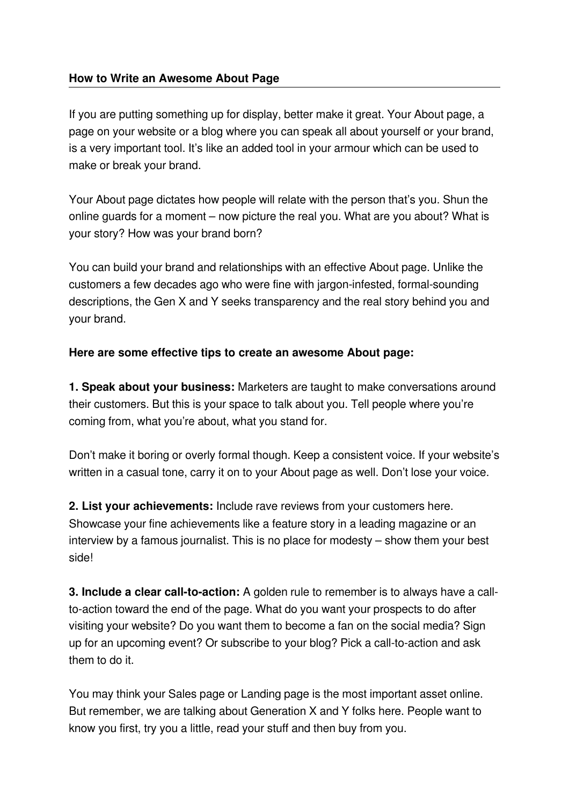## **How to Write an Awesome About Page**

If you are putting something up for display, better make it great. Your About page, a page on your website or a blog where you can speak all about yourself or your brand, is a very important tool. It's like an added tool in your armour which can be used to make or break your brand.

Your About page dictates how people will relate with the person that's you. Shun the online guards for a moment – now picture the real you. What are you about? What is your story? How was your brand born?

You can build your brand and relationships with an effective About page. Unlike the customers a few decades ago who were fine with jargon-infested, formal-sounding descriptions, the Gen X and Y seeks transparency and the real story behind you and your brand.

## **Here are some effective tips to create an awesome About page:**

**1. Speak about your business:** Marketers are taught to make conversations around their customers. But this is your space to talk about you. Tell people where you're coming from, what you're about, what you stand for.

Don't make it boring or overly formal though. Keep a consistent voice. If your website's written in a casual tone, carry it on to your About page as well. Don't lose your voice.

**2. List your achievements:** Include rave reviews from your customers here. Showcase your fine achievements like a feature story in a leading magazine or an interview by a famous journalist. This is no place for modesty – show them your best side!

**3. Include a clear call-to-action:** A golden rule to remember is to always have a callto-action toward the end of the page. What do you want your prospects to do after visiting your website? Do you want them to become a fan on the social media? Sign up for an upcoming event? Or subscribe to your blog? Pick a call-to-action and ask them to do it.

You may think your Sales page or Landing page is the most important asset online. But remember, we are talking about Generation X and Y folks here. People want to know you first, try you a little, read your stuff and then buy from you.